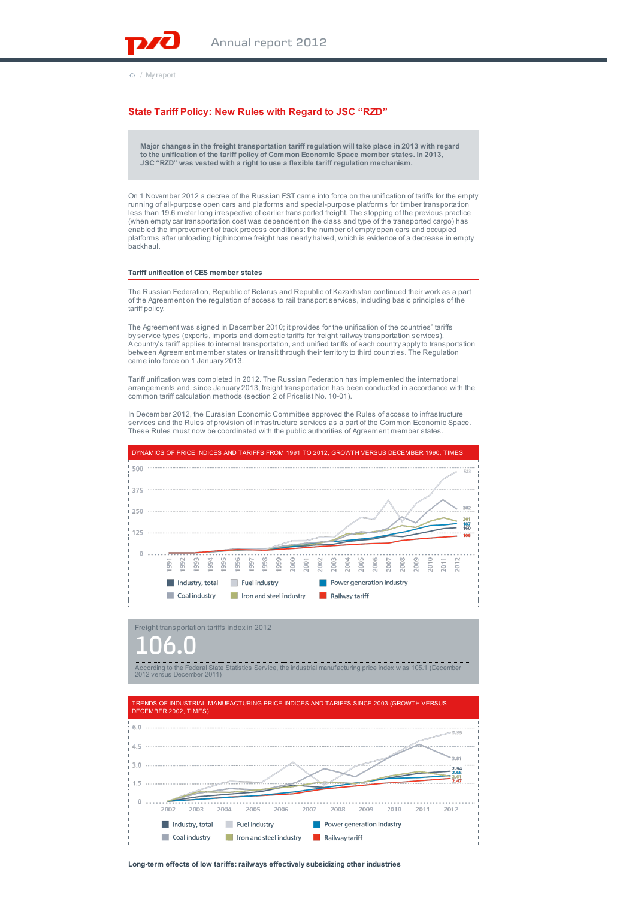

/ My report

## **State Tariff Policy: New Rules with Regard to JSC "RZD"**

**Major changes in the freight transportation tariff regulation will take place in 2013 with regard to the unification of the tariff policy of Common Economic Space member states. In 2013, JSC "RZD" was vested with a right to use a flexible tariff regulation mechanism.**

On 1 November 2012 a decree of the Russian FST came into force on the unification of tariffs for the empty running of all-purpose open cars and platforms and special-purpose platforms for timber transportation less than 19.6 meter long irrespective of earlier transported freight. The stopping of the previous practice (when empty car transportation cost was dependent on the class and type of the transported cargo) has enabled the improvement of track process conditions: the number of empty open cars and occupied platforms after unloading highincome freight has nearly halved, which is evidence of a decrease in empty backhaul.

#### **Tariff unification of CES member states**

The Russian Federation, Republic of Belarus and Republic of Kazakhstan continued their work as a part of the Agreement on the regulation of access to rail transport services, including basic principles of the tariff policy.

The Agreement was signed in December 2010; it provides for the unification of the countries' tariffs by service types (exports, imports and domestic tariffs for freight railway transportation services). A country's tariff applies to internal transportation, and unified tariffs of each country apply to transportation between Agreement member states or transit through their territory to third countries. The Regulation came into force on 1 January 2013.

Tariff unification was completed in 2012. The Russian Federation has implemented the international arrangements and, since January 2013, freight transportation has been conducted in accordance with the common tariff calculation methods (section 2 of Pricelist No. 10-01).

In December 2012, the Eurasian Economic Committee approved the Rules of access to infrastructure services and the Rules of provision of infrastructure services as a part of the Common Economic Space. These Rules must now be coordinated with the public authorities of Agreement member states.



Freight transportation tariffs index in 2012

# 106.0



TRENDS OF INDUSTRIAL MANUFACTURING PRICE INDICES AND TARIFFS SINCE 2003 (GROWTH VERSUS DECEMBER 2002, TIMES)  $6.0...$ 6,35 4.5  $3.0$ 1.5  $0......$ 2003 2005 2002 2004 2006 2007 2008 2009 2010 2011 2012 Industry, total Fuel industry Power generation industry Coal industry I Iron and steel industry **No. 2016** Railway tariff

**Long-term effects of low tariffs: railways effectively subsidizing other industries**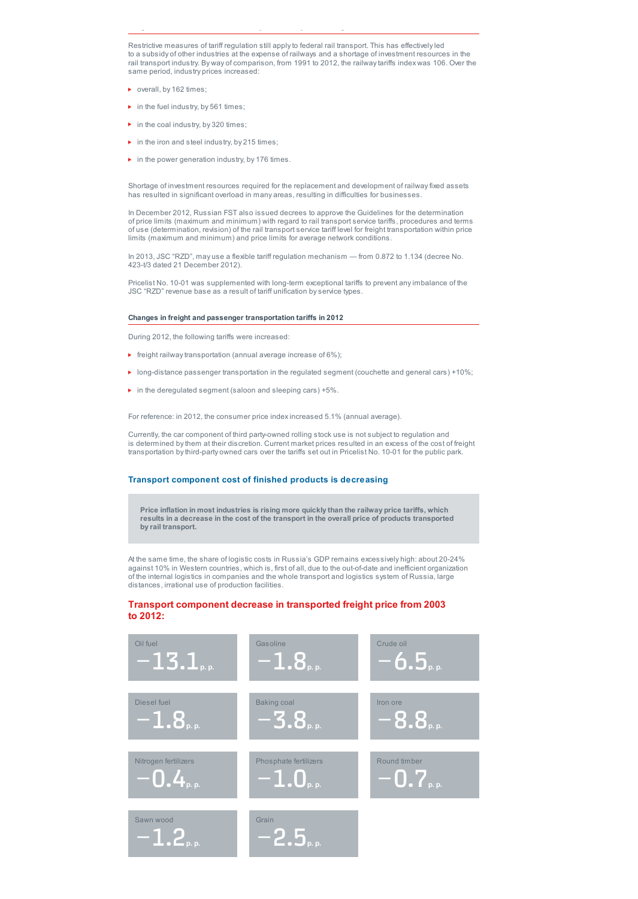Restrictive measures of tariff regulation still apply to federal rail transport. This has effectively led to a subsidy of other industries at the expense of railways and a shortage of investment resources in the rail transport industry. By way of comparison, from 1991 to 2012, the railway tariffs index was 106. Over the same period, industry prices increased:

**Long-term effects of low tariffs: railways effectively subsidizing other industries**

- verall, by 162 times;
- $\blacktriangleright$  in the fuel industry, by 561 times;
- $\blacktriangleright$  in the coal industry, by 320 times;
- $\blacktriangleright$  in the iron and steel industry, by 215 times;
- $\blacktriangleright$  in the power generation industry, by 176 times.

Shortage of investment resources required for the replacement and development of railway fixed assets has resulted in significant overload in many areas, resulting in difficulties for businesses.

In December 2012, Russian FST also issued decrees to approve the Guidelines for the determination of price limits (maximum and minimum) with regard to rail transport service tariffs, procedures and terms of use (determination, revision) of the rail transport service tariff level for freight transportation within price limits (maximum and minimum) and price limits for average network conditions.

In 2013, JSC "RZD", may use a flexible tariff regulation mechanism — from 0.872 to 1.134 (decree No. 423-t/3 dated 21 December 2012).

Pricelist No. 10-01 was supplemented with long-term exceptional tariffs to prevent any imbalance of the JSC "RZD" revenue base as a result of tariff unification by service types.

#### **Changes in freight and passenger transportation tariffs in 2012**

During 2012, the following tariffs were increased:

- $\blacktriangleright$  freight railway transportation (annual average increase of 6%);
- $\blacktriangleright$  long-distance passenger transportation in the regulated segment (couchette and general cars) +10%;
- $\blacktriangleright$  in the deregulated segment (saloon and sleeping cars) +5%.

For reference: in 2012, the consumer price index increased 5.1% (annual average).

Currently, the car component of third party-owned rolling stock use is not subject to regulation and is determined by them at their discretion. Current market prices resulted in an excess of the cost of freight transportation by third-party owned cars over the tariffs set out in Pricelist No. 10-01 for the public park.

### **Transport component cost of finished products is decreasing**

**Price inflation in most industries is rising more quickly than the railway price tariffs, which results in a decrease in the cost of the transport in the overall price of products transported by rail transport.**

At the same time, the share of logistic costs in Russia's GDP remains excessively high: about 20-24% against 10% in Western countries, which is, first of all, due to the out-of-date and inefficient organization of the internal logistics in companies and the whole transport and logistics system of Russia, large distances, irrational use of production facilities.

## **Transport component decrease in transported freight price from 2003 to 2012:**